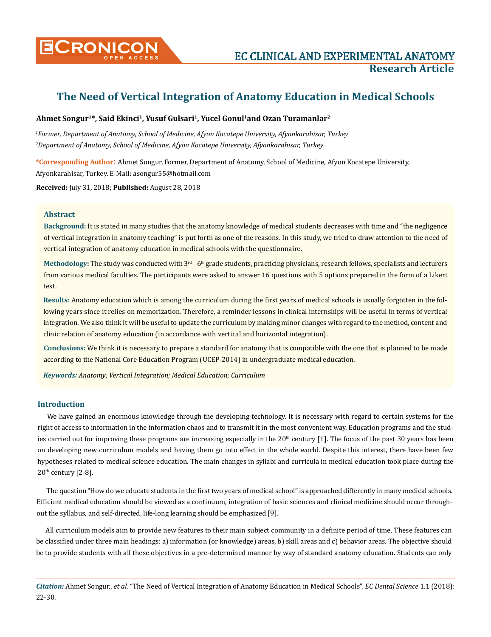

# **The Need of Vertical Integration of Anatomy Education in Medical Schools**

# **Ahmet Songur1\*, Said Ekinci1, Yusuf Gulsari1, Yucel Gonul1and Ozan Turamanlar2**

*1 Former, Department of Anatomy, School of Medicine, Afyon Kocatepe University, Afyonkarahisar, Turkey 2 Department of Anatomy, School of Medicine, Afyon Kocatepe University, Afyonkarahisar, Turkey*

**\*Corresponding Author**: Ahmet Songur, Former, Department of Anatomy, School of Medicine, Afyon Kocatepe University, Afyonkarahisar, Turkey. E-Mail: [asongur55@hotmail.com](mailto:asongur55@hotmail.com)

**Received:** July 31, 2018; **Published:** August 28, 2018

## **Abstract**

**Background:** It is stated in many studies that the anatomy knowledge of medical students decreases with time and "the negligence of vertical integration in anatomy teaching" is put forth as one of the reasons. In this study, we tried to draw attention to the need of vertical integration of anatomy education in medical schools with the questionnaire.

Methodology: The study was conducted with 3<sup>rd</sup> - 6<sup>th</sup> grade students, practicing physicians, research fellows, specialists and lecturers from various medical faculties. The participants were asked to answer 16 questions with 5 options prepared in the form of a Likert test.

**Results:** Anatomy education which is among the curriculum during the first years of medical schools is usually forgotten in the following years since it relies on memorization. Therefore, a reminder lessons in clinical internships will be useful in terms of vertical integration. We also think it will be useful to update the curriculum by making minor changes with regard to the method, content and clinic relation of anatomy education (in accordance with vertical and horizontal integration).

**Conclusions:** We think it is necessary to prepare a standard for anatomy that is compatible with the one that is planned to be made according to the National Core Education Program (UCEP-2014) in undergraduate medical education.

*Keywords: Anatomy; Vertical Integration; Medical Education; Curriculum*

# **Introduction**

We have gained an enormous knowledge through the developing technology. It is necessary with regard to certain systems for the right of access to information in the information chaos and to transmit it in the most convenient way. Education programs and the studies carried out for improving these programs are increasing especially in the  $20<sup>th</sup>$  century [1]. The focus of the past 30 years has been on developing new curriculum models and having them go into effect in the whole world. Despite this interest, there have been few hypotheses related to medical science education. The main changes in syllabi and curricula in medical education took place during the  $20<sup>th</sup>$  century  $[2-8]$ .

The question "How do we educate students in the first two years of medical school" is approached differently in many medical schools. Efficient medical education should be viewed as a continuum, integration of basic sciences and clinical medicine should occur throughout the syllabus, and self-directed, life-long learning should be emphasized [9].

All curriculum models aim to provide new features to their main subject community in a definite period of time. These features can be classified under three main headings: a) information (or knowledge) areas, b) skill areas and c) behavior areas. The objective should be to provide students with all these objectives in a pre-determined manner by way of standard anatomy education. Students can only

*Citation:* Ahmet Songur., *et al*. "The Need of Vertical Integration of Anatomy Education in Medical Schools". *EC Dental Science* 1.1 (2018): 22-30.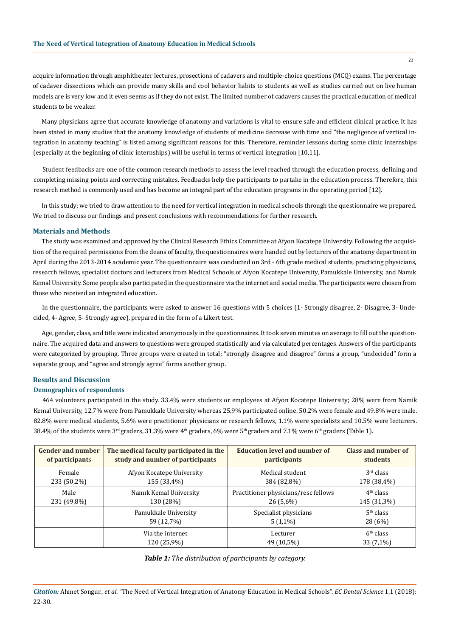acquire information through amphitheater lectures, prosections of cadavers and multiple-choice questions (MCQ) exams. The percentage of cadaver dissections which can provide many skills and cool behavior habits to students as well as studies carried out on live human models are is very low and it even seems as if they do not exist. The limited number of cadavers causes the practical education of medical students to be weaker.

Many physicians agree that accurate knowledge of anatomy and variations is vital to ensure safe and efficient clinical practice. It has been stated in many studies that the anatomy knowledge of students of medicine decrease with time and "the negligence of vertical integration in anatomy teaching" is listed among significant reasons for this. Therefore, reminder lessons during some clinic internships (especially at the beginning of clinic internships) will be useful in terms of vertical integration [10,11].

Student feedbacks are one of the common research methods to assess the level reached through the education process, defining and completing missing points and correcting mistakes. Feedbacks help the participants to partake in the education process. Therefore, this research method is commonly used and has become an integral part of the education programs in the operating period [12].

In this study; we tried to draw attention to the need for vertical integration in medical schools through the questionnaire we prepared. We tried to discuss our findings and present conclusions with recommendations for further research.

## **Materials and Methods**

The study was examined and approved by the Clinical Research Ethics Committee at Afyon Kocatepe University. Following the acquisition of the required permissions from the deans of faculty, the questionnaires were handed out by lecturers of the anatomy department in April during the 2013-2014 academic year. The questionnaire was conducted on 3rd - 6th grade medical students, practicing physicians, research fellows, specialist doctors and lecturers from Medical Schools of Afyon Kocatepe University, Pamukkale University, and Namık Kemal University. Some people also participated in the questionnaire via the internet and social media. The participants were chosen from those who received an integrated education.

In the questionnaire, the participants were asked to answer 16 questions with 5 choices (1- Strongly disagree, 2- Disagree, 3- Undecided, 4- Agree, 5- Strongly agree), prepared in the form of a Likert test.

Age, gender, class, and title were indicated anonymously in the questionnaires. It took seven minutes on average to fill out the questionnaire. The acquired data and answers to questions were grouped statistically and via calculated percentages. Answers of the participants were categorized by grouping. Three groups were created in total; "strongly disagree and disagree" forms a group, "undecided" form a separate group, and "agree and strongly agree" forms another group.

## **Results and Discussion**

#### **Demographics of respondents**

464 volunteers participated in the study. 33.4% were students or employees at Afyon Kocatepe University; 28% were from Namik Kemal University, 12.7% were from Pamukkale University whereas 25.9% participated online. 50.2% were female and 49.8% were male. 82.8% were medical students, 5.6% were practitioner physicians or research fellows, 1.1% were specialists and 10.5% were lecturers. 38.4% of the students were 3<sup>rd</sup> graders, 31.3% were 4<sup>th</sup> graders, 6% were 5<sup>th</sup> graders and 7.1% were 6<sup>th</sup> graders (Table 1).

| <b>Gender and number</b> | The medical faculty participated in the | <b>Education level and number of</b> | <b>Class and number of</b> |  |
|--------------------------|-----------------------------------------|--------------------------------------|----------------------------|--|
| of participants          | study and number of participants        | <i>participants</i>                  | students                   |  |
| Female                   | Afyon Kocatepe University               | Medical student                      | $3rd$ class                |  |
| 233 (50,2%)              | 155 (33,4%)                             | 384 (82,8%)                          | 178 (38,4%)                |  |
| Male                     | Namik Kemal University                  | Practitioner physicians/resc fellows | 4 <sup>th</sup> class      |  |
| 231 (49,8%)              | 130 (28%)                               | $26(5,6\%)$                          | 145 (31,3%)                |  |
|                          | Pamukkale University                    | Specialist physicians                | 5 <sup>th</sup> class      |  |
|                          | 59 (12,7%)                              | $5(1,1\%)$                           | 28 (6%)                    |  |
|                          | Via the internet                        | Lecturer                             | 6 <sup>th</sup> class      |  |
|                          | 120 (25,9%)                             | 49 (10,5%)                           | $33(7,1\%)$                |  |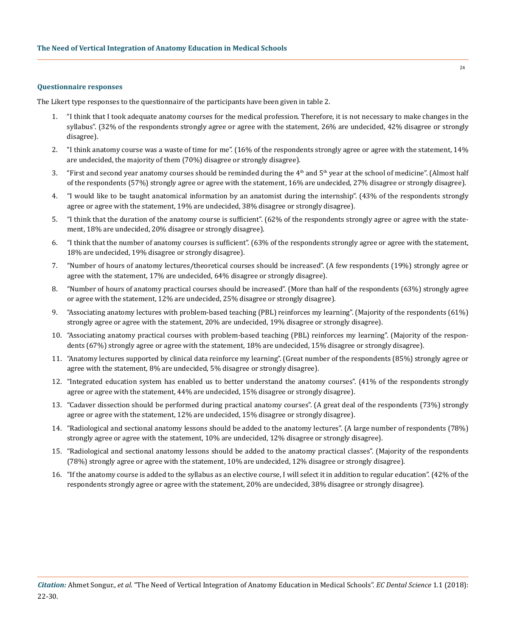#### **Questionnaire responses**

The Likert type responses to the questionnaire of the participants have been given in table 2.

- 1. "I think that I took adequate anatomy courses for the medical profession. Therefore, it is not necessary to make changes in the syllabus". (32% of the respondents strongly agree or agree with the statement, 26% are undecided, 42% disagree or strongly disagree).
- 2. "I think anatomy course was a waste of time for me". (16% of the respondents strongly agree or agree with the statement, 14% are undecided, the majority of them (70%) disagree or strongly disagree).
- 3. "First and second year anatomy courses should be reminded during the  $4<sup>th</sup>$  and  $5<sup>th</sup>$  year at the school of medicine". (Almost half of the respondents (57%) strongly agree or agree with the statement, 16% are undecided, 27% disagree or strongly disagree).
- 4. "I would like to be taught anatomical information by an anatomist during the internship". (43% of the respondents strongly agree or agree with the statement, 19% are undecided, 38% disagree or strongly disagree).
- 5. "I think that the duration of the anatomy course is sufficient". (62% of the respondents strongly agree or agree with the statement, 18% are undecided, 20% disagree or strongly disagree).
- 6. "I think that the number of anatomy courses is sufficient". (63% of the respondents strongly agree or agree with the statement, 18% are undecided, 19% disagree or strongly disagree).
- 7. "Number of hours of anatomy lectures/theoretical courses should be increased". (A few respondents (19%) strongly agree or agree with the statement, 17% are undecided, 64% disagree or strongly disagree).
- 8. "Number of hours of anatomy practical courses should be increased". (More than half of the respondents (63%) strongly agree or agree with the statement, 12% are undecided, 25% disagree or strongly disagree).
- 9. "Associating anatomy lectures with problem-based teaching (PBL) reinforces my learning". (Majority of the respondents (61%) strongly agree or agree with the statement, 20% are undecided, 19% disagree or strongly disagree).
- 10. "Associating anatomy practical courses with problem-based teaching (PBL) reinforces my learning". (Majority of the respondents (67%) strongly agree or agree with the statement, 18% are undecided, 15% disagree or strongly disagree).
- 11. "Anatomy lectures supported by clinical data reinforce my learning". (Great number of the respondents (85%) strongly agree or agree with the statement, 8% are undecided, 5% disagree or strongly disagree).
- 12. "Integrated education system has enabled us to better understand the anatomy courses". (41% of the respondents strongly agree or agree with the statement, 44% are undecided, 15% disagree or strongly disagree).
- 13. "Cadaver dissection should be performed during practical anatomy courses". (A great deal of the respondents (73%) strongly agree or agree with the statement, 12% are undecided, 15% disagree or strongly disagree).
- 14. "Radiological and sectional anatomy lessons should be added to the anatomy lectures". (A large number of respondents (78%) strongly agree or agree with the statement, 10% are undecided, 12% disagree or strongly disagree).
- 15. "Radiological and sectional anatomy lessons should be added to the anatomy practical classes". (Majority of the respondents (78%) strongly agree or agree with the statement, 10% are undecided, 12% disagree or strongly disagree).
- 16. "If the anatomy course is added to the syllabus as an elective course, I will select it in addition to regular education". (42% of the respondents strongly agree or agree with the statement, 20% are undecided, 38% disagree or strongly disagree).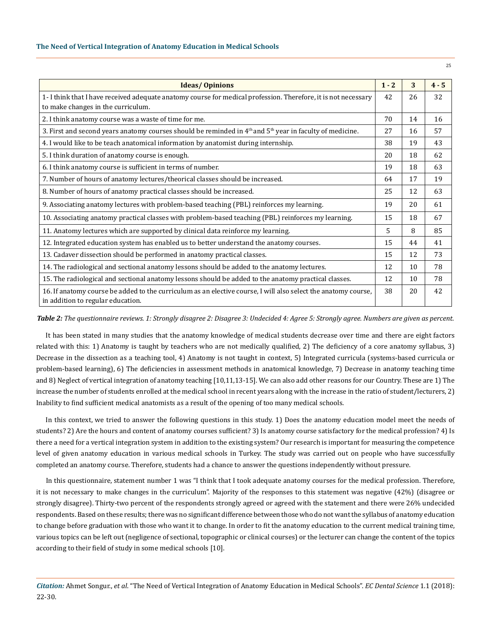| <b>Ideas/Opinions</b>                                                                                                                               |  | 3  | $4 - 5$ |
|-----------------------------------------------------------------------------------------------------------------------------------------------------|--|----|---------|
| 1- I think that I have received adequate anatomy course for medical profession. Therefore, it is not necessary                                      |  | 26 | 32      |
| to make changes in the curriculum.                                                                                                                  |  |    |         |
| 2. I think anatomy course was a waste of time for me.                                                                                               |  | 14 | 16      |
| 3. First and second years anatomy courses should be reminded in $4th$ and $5th$ year in faculty of medicine.                                        |  | 16 | 57      |
| 4. I would like to be teach anatomical information by anatomist during internship.                                                                  |  | 19 | 43      |
| 5. I think duration of anatomy course is enough.                                                                                                    |  | 18 | 62      |
| 6. I think anatomy course is sufficient in terms of number.                                                                                         |  | 18 | 63      |
| 7. Number of hours of anatomy lectures/theorical classes should be increased.                                                                       |  | 17 | 19      |
| 8. Number of hours of anatomy practical classes should be increased.                                                                                |  | 12 | 63      |
| 9. Associating anatomy lectures with problem-based teaching (PBL) reinforces my learning.                                                           |  | 20 | 61      |
| 10. Associating anatomy practical classes with problem-based teaching (PBL) reinforces my learning.                                                 |  | 18 | 67      |
| 11. Anatomy lectures which are supported by clinical data reinforce my learning.                                                                    |  | 8  | 85      |
| 12. Integrated education system has enabled us to better understand the anatomy courses.                                                            |  | 44 | 41      |
| 13. Cadaver dissection should be performed in anatomy practical classes.                                                                            |  | 12 | 73      |
| 14. The radiological and sectional anatomy lessons should be added to the anatomy lectures.                                                         |  | 10 | 78      |
| 15. The radiological and sectional anatomy lessons should be added to the anatomy practical classes.                                                |  | 10 | 78      |
| 16. If anatomy course be added to the curriculum as an elective course, I will also select the anatomy course,<br>in addition to regular education. |  | 20 | 42      |

*Table 2: The questionnaire reviews. 1: Strongly disagree 2: Disagree 3: Undecided 4: Agree 5: Strongly agree. Numbers are given as percent.*

It has been stated in many studies that the anatomy knowledge of medical students decrease over time and there are eight factors related with this: 1) Anatomy is taught by teachers who are not medically qualified, 2) The deficiency of a core anatomy syllabus, 3) Decrease in the dissection as a teaching tool, 4) Anatomy is not taught in context, 5) Integrated curricula (systems-based curricula or problem-based learning), 6) The deficiencies in assessment methods in anatomical knowledge, 7) Decrease in anatomy teaching time and 8) Neglect of vertical integration of anatomy teaching [10,11,13-15]. We can also add other reasons for our Country. These are 1) The increase the number of students enrolled at the medical school in recent years along with the increase in the ratio of student/lecturers, 2) Inability to find sufficient medical anatomists as a result of the opening of too many medical schools.

In this context, we tried to answer the following questions in this study. 1) Does the anatomy education model meet the needs of students? 2) Are the hours and content of anatomy courses sufficient? 3) Is anatomy course satisfactory for the medical profession? 4) Is there a need for a vertical integration system in addition to the existing system? Our research is important for measuring the competence level of given anatomy education in various medical schools in Turkey. The study was carried out on people who have successfully completed an anatomy course. Therefore, students had a chance to answer the questions independently without pressure.

In this questionnaire, statement number 1 was "I think that I took adequate anatomy courses for the medical profession. Therefore, it is not necessary to make changes in the curriculum". Majority of the responses to this statement was negative (42%) (disagree or strongly disagree). Thirty-two percent of the respondents strongly agreed or agreed with the statement and there were 26% undecided respondents. Based on these results; there was no significant difference between those who do not want the syllabus of anatomy education to change before graduation with those who want it to change. In order to fit the anatomy education to the current medical training time, various topics can be left out (negligence of sectional, topographic or clinical courses) or the lecturer can change the content of the topics according to their field of study in some medical schools [10].

*Citation:* Ahmet Songur., *et al*. "The Need of Vertical Integration of Anatomy Education in Medical Schools". *EC Dental Science* 1.1 (2018): 22-30.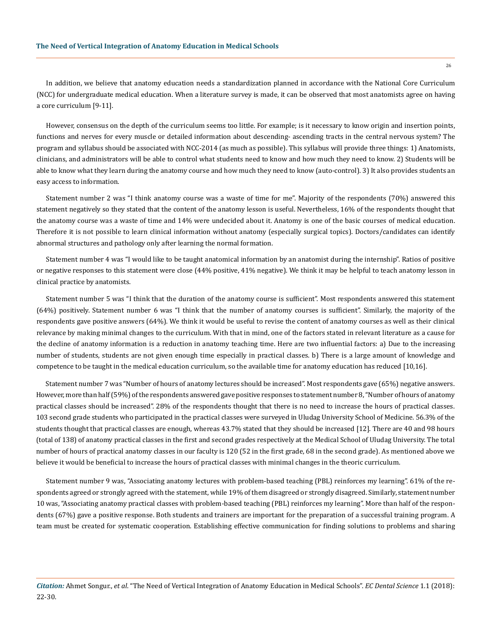In addition, we believe that anatomy education needs a standardization planned in accordance with the National Core Curriculum (NCC) for undergraduate medical education. When a literature survey is made, it can be observed that most anatomists agree on having a core curriculum [9-11].

However, consensus on the depth of the curriculum seems too little. For example; is it necessary to know origin and insertion points, functions and nerves for every muscle or detailed information about descending- ascending tracts in the central nervous system? The program and syllabus should be associated with NCC-2014 (as much as possible). This syllabus will provide three things: 1) Anatomists, clinicians, and administrators will be able to control what students need to know and how much they need to know. 2) Students will be able to know what they learn during the anatomy course and how much they need to know (auto-control). 3) It also provides students an easy access to information.

Statement number 2 was "I think anatomy course was a waste of time for me". Majority of the respondents (70%) answered this statement negatively so they stated that the content of the anatomy lesson is useful. Nevertheless, 16% of the respondents thought that the anatomy course was a waste of time and 14% were undecided about it. Anatomy is one of the basic courses of medical education. Therefore it is not possible to learn clinical information without anatomy (especially surgical topics). Doctors/candidates can identify abnormal structures and pathology only after learning the normal formation.

Statement number 4 was "I would like to be taught anatomical information by an anatomist during the internship". Ratios of positive or negative responses to this statement were close (44% positive, 41% negative). We think it may be helpful to teach anatomy lesson in clinical practice by anatomists.

Statement number 5 was "I think that the duration of the anatomy course is sufficient". Most respondents answered this statement (64%) positively. Statement number 6 was "I think that the number of anatomy courses is sufficient". Similarly, the majority of the respondents gave positive answers (64%). We think it would be useful to revise the content of anatomy courses as well as their clinical relevance by making minimal changes to the curriculum. With that in mind, one of the factors stated in relevant literature as a cause for the decline of anatomy information is a reduction in anatomy teaching time. Here are two influential factors: a) Due to the increasing number of students, students are not given enough time especially in practical classes. b) There is a large amount of knowledge and competence to be taught in the medical education curriculum, so the available time for anatomy education has reduced [10,16].

Statement number 7 was "Number of hours of anatomy lectures should be increased". Most respondents gave (65%) negative answers. However, more than half (59%) of the respondents answered gave positive responses to statement number 8, "Number of hours of anatomy practical classes should be increased". 28% of the respondents thought that there is no need to increase the hours of practical classes. 103 second grade students who participated in the practical classes were surveyed in Uludag University School of Medicine. 56.3% of the students thought that practical classes are enough, whereas 43.7% stated that they should be increased [12]. There are 40 and 98 hours (total of 138) of anatomy practical classes in the first and second grades respectively at the Medical School of Uludag University. The total number of hours of practical anatomy classes in our faculty is 120 (52 in the first grade, 68 in the second grade). As mentioned above we believe it would be beneficial to increase the hours of practical classes with minimal changes in the theoric curriculum.

Statement number 9 was, "Associating anatomy lectures with problem-based teaching (PBL) reinforces my learning". 61% of the respondents agreed or strongly agreed with the statement, while 19% of them disagreed or strongly disagreed. Similarly, statement number 10 was, "Associating anatomy practical classes with problem-based teaching (PBL) reinforces my learning". More than half of the respondents (67%) gave a positive response. Both students and trainers are important for the preparation of a successful training program. A team must be created for systematic cooperation. Establishing effective communication for finding solutions to problems and sharing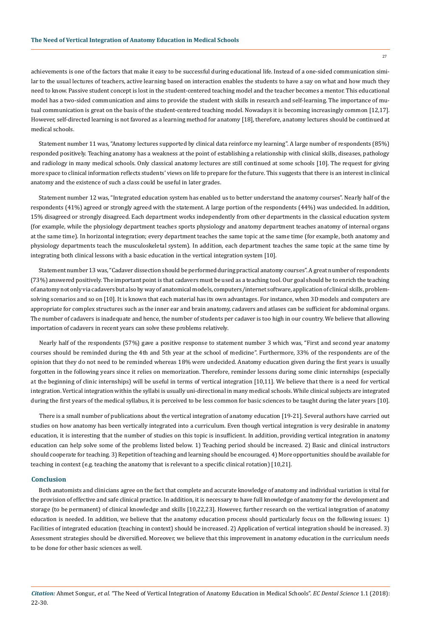achievements is one of the factors that make it easy to be successful during educational life. Instead of a one-sided communication similar to the usual lectures of teachers, active learning based on interaction enables the students to have a say on what and how much they need to know. Passive student concept is lost in the student-centered teaching model and the teacher becomes a mentor. This educational model has a two-sided communication and aims to provide the student with skills in research and self-learning. The importance of mutual communication is great on the basis of the student-centered teaching model. Nowadays it is becoming increasingly common [12,17]. However, self-directed learning is not favored as a learning method for anatomy [18], therefore, anatomy lectures should be continued at medical schools.

Statement number 11 was, "Anatomy lectures supported by clinical data reinforce my learning". A large number of respondents (85%) responded positively. Teaching anatomy has a weakness at the point of establishing a relationship with clinical skills, diseases, pathology and radiology in many medical schools. Only classical anatomy lectures are still continued at some schools [10]. The request for giving more space to clinical information reflects students' views on life to prepare for the future. This suggests that there is an interest in clinical anatomy and the existence of such a class could be useful in later grades.

Statement number 12 was, "Integrated education system has enabled us to better understand the anatomy courses". Nearly half of the respondents (41%) agreed or strongly agreed with the statement. A large portion of the respondents (44%) was undecided. In addition, 15% disagreed or strongly disagreed. Each department works independently from other departments in the classical education system (for example, while the physiology department teaches sports physiology and anatomy department teaches anatomy of internal organs at the same time). In horizontal integration; every department teaches the same topic at the same time (for example, both anatomy and physiology departments teach the musculoskeletal system). In addition, each department teaches the same topic at the same time by integrating both clinical lessons with a basic education in the vertical integration system [10].

Statement number 13 was, "Cadaver dissection should be performed during practical anatomy courses". A great number of respondents (73%) answered positively. The important point is that cadavers must be used as a teaching tool. Our goal should be to enrich the teaching of anatomy not only via cadavers but also by way of anatomical models, computers/internet software, application of clinical skills, problemsolving scenarios and so on [10]. It is known that each material has its own advantages. For instance, when 3D models and computers are appropriate for complex structures such as the inner ear and brain anatomy, cadavers and atlases can be sufficient for abdominal organs. The number of cadavers is inadequate and hence, the number of students per cadaver is too high in our country. We believe that allowing importation of cadavers in recent years can solve these problems relatively.

Nearly half of the respondents (57%) gave a positive response to statement number 3 which was, "First and second year anatomy courses should be reminded during the 4th and 5th year at the school of medicine". Furthermore, 33% of the respondents are of the opinion that they do not need to be reminded whereas 18% were undecided. Anatomy education given during the first years is usually forgotten in the following years since it relies on memorization. Therefore, reminder lessons during some clinic internships (especially at the beginning of clinic internships) will be useful in terms of vertical integration [10,11]. We believe that there is a need for vertical integration. Vertical integration within the syllabi is usually uni-directional in many medical schools. While clinical subjects are integrated during the first years of the medical syllabus, it is perceived to be less common for basic sciences to be taught during the later years [10].

There is a small number of publications about the vertical integration of anatomy education [19-21]. Several authors have carried out studies on how anatomy has been vertically integrated into a curriculum. Even though vertical integration is very desirable in anatomy education, it is interesting that the number of studies on this topic is insufficient. In addition, providing vertical integration in anatomy education can help solve some of the problems listed below. 1) Teaching period should be increased. 2) Basic and clinical instructors should cooperate for teaching. 3) Repetition of teaching and learning should be encouraged. 4) More opportunities should be available for teaching in context (e.g. teaching the anatomy that is relevant to a specific clinical rotation) [10,21].

# **Conclusion**

Both anatomists and clinicians agree on the fact that complete and accurate knowledge of anatomy and individual variation is vital for the provision of effective and safe clinical practice. In addition, it is necessary to have full knowledge of anatomy for the development and storage (to be permanent) of clinical knowledge and skills [10,22,23]. However, further research on the vertical integration of anatomy education is needed. In addition, we believe that the anatomy education process should particularly focus on the following issues: 1) Facilities of integrated education (teaching in context) should be increased. 2) Application of vertical integration should be increased. 3) Assessment strategies should be diversified. Moreover, we believe that this improvement in anatomy education in the curriculum needs to be done for other basic sciences as well.

*Citation:* Ahmet Songur., *et al*. "The Need of Vertical Integration of Anatomy Education in Medical Schools". *EC Dental Science* 1.1 (2018): 22-30.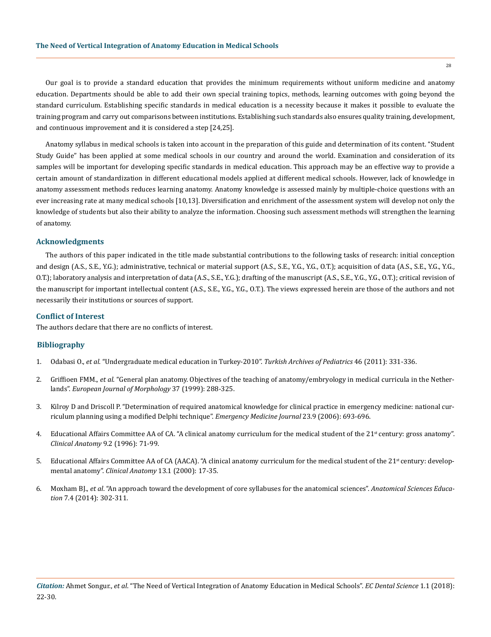$28$ 

Our goal is to provide a standard education that provides the minimum requirements without uniform medicine and anatomy education. Departments should be able to add their own special training topics, methods, learning outcomes with going beyond the standard curriculum. Establishing specific standards in medical education is a necessity because it makes it possible to evaluate the training program and carry out comparisons between institutions. Establishing such standards also ensures quality training, development, and continuous improvement and it is considered a step [24,25].

Anatomy syllabus in medical schools is taken into account in the preparation of this guide and determination of its content. "Student Study Guide" has been applied at some medical schools in our country and around the world. Examination and consideration of its samples will be important for developing specific standards in medical education. This approach may be an effective way to provide a certain amount of standardization in different educational models applied at different medical schools. However, lack of knowledge in anatomy assessment methods reduces learning anatomy. Anatomy knowledge is assessed mainly by multiple-choice questions with an ever increasing rate at many medical schools [10,13]. Diversification and enrichment of the assessment system will develop not only the knowledge of students but also their ability to analyze the information. Choosing such assessment methods will strengthen the learning of anatomy.

## **Acknowledgments**

The authors of this paper indicated in the title made substantial contributions to the following tasks of research: initial conception and design (A.S., S.E., Y.G.); administrative, technical or material support (A.S., S.E., Y.G., Y.G., O.T.); acquisition of data (A.S., S.E., Y.G., Y.G., O.T.); laboratory analysis and interpretation of data (A.S., S.E., Y.G.); drafting of the manuscript (A.S., S.E., Y.G., Y.G., O.T.); critical revision of the manuscript for important intellectual content (A.S., S.E., Y.G., Y.G., O.T.). The views expressed herein are those of the authors and not necessarily their institutions or sources of support.

## **Conflict of Interest**

The authors declare that there are no conflicts of interest.

# **Bibliography**

- 1. Odabasi O., *et al*. "Undergraduate medical education in Turkey-2010". *Turkish Archives of Pediatrics* 46 (2011): 331-336.
- 2. Griffioen FMM., *et al*. "General plan anatomy. Objectives of the teaching of anatomy/embryology in medical curricula in the Netherlands". *European Journal of Morphology* 37 (1999): 288-325.
- 3. [Kilroy D and Driscoll P. "Determination of required anatomical knowledge for clinical practice in emergency medicine: national cur](https://www.ncbi.nlm.nih.gov/pubmed/16921081)[riculum planning using a modified Delphi technique".](https://www.ncbi.nlm.nih.gov/pubmed/16921081) *Emergency Medicine Journal* 23.9 (2006): 693-696.
- 4. Educational Affairs Committee AA of CA. "A clinical anatomy curriculum for the medical student of the 21<sup>st</sup> century: gross anatomy". *[Clinical Anatomy](https://www.ncbi.nlm.nih.gov/pubmed/8720783)* 9.2 (1996): 71-99.
- 5. Educational Affairs Committee AA of CA (AACA). "A clinical anatomy curriculum for the medical student of the 21<sup>st</sup> century: developmental anatomy". *[Clinical Anatomy](https://www.ncbi.nlm.nih.gov/pubmed/10617885)* 13.1 (2000): 17-35.
- 6. Moxham BJ., *et al*[. "An approach toward the development of core syllabuses for the anatomical sciences".](https://www.ncbi.nlm.nih.gov/pubmed/24740896) *Anatomical Sciences Education* [7.4 \(2014\): 302-311.](https://www.ncbi.nlm.nih.gov/pubmed/24740896)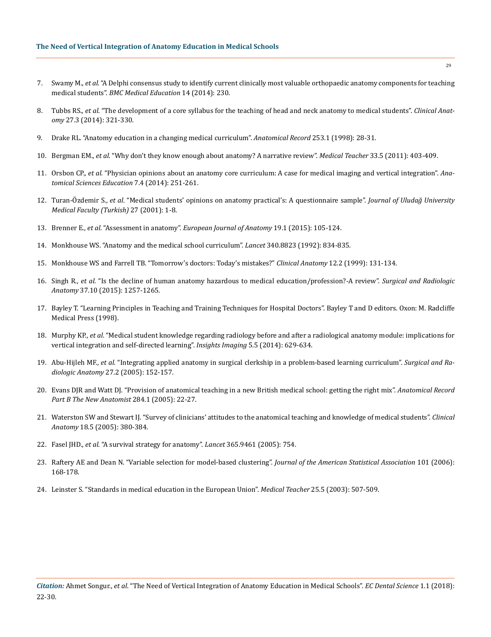- 7. Swamy M., *et al*[. "A Delphi consensus study to identify current clinically most valuable orthopaedic anatomy components for teaching](https://www.ncbi.nlm.nih.gov/pmc/articles/PMC4287337/)  medical students". *[BMC Medical Education](https://www.ncbi.nlm.nih.gov/pmc/articles/PMC4287337/)* 14 (2014): 230.
- 8. Tubbs RS., *et al*[. "The development of a core syllabus for the teaching of head and neck anatomy to medical students".](https://www.ncbi.nlm.nih.gov/pubmed/24453104) *Clinical Anatomy* [27.3 \(2014\): 321-330.](https://www.ncbi.nlm.nih.gov/pubmed/24453104)
- 9. [Drake RL. "Anatomy education in a changing medical curriculum".](https://www.ncbi.nlm.nih.gov/pubmed/9556023) *Anatomical Record* 253.1 (1998): 28-31.
- 10. Bergman EM., *et al*[. "Why don't they know enough about anatomy? A narrative review".](https://www.ncbi.nlm.nih.gov/pubmed/21355704) *Medical Teacher* 33.5 (2011): 403-409.
- 11. Orsbon CP., *et al*[. "Physician opinions about an anatomy core curriculum: A case for medical imaging and vertical integration".](https://www.ncbi.nlm.nih.gov/pubmed/24022941) *Ana[tomical Sciences Education](https://www.ncbi.nlm.nih.gov/pubmed/24022941)* 7.4 (2014): 251-261.
- 12. Turan-Özdemir S., *et al*. "Medical students' opinions on anatomy practical's: A questionnaire sample". *Journal of Uludağ University Medical Faculty (Turkish)* 27 (2001): 1-8.
- 13. Brenner E., *et al*. "Assessment in anatomy". *[European Journal of Anatomy](https://www.researchgate.net/publication/272748570_Assessment_in_anatomy)* 19.1 (2015): 105-124.
- 14. [Monkhouse WS. "Anatomy and the medical school curriculum".](https://www.thelancet.com/journals/lancet/article/PII0140-6736(92)92695-C/abstract?code=lancet-site) *Lancet* 340.8823 (1992): 834-835.
- 15. [Monkhouse WS and Farrell TB. "Tomorrow's doctors: Today's mistakes?"](https://www.ncbi.nlm.nih.gov/pubmed/10089040) *Clinical Anatomy* 12.2 (1999): 131-134.
- 16. Singh R., *et al*[. "Is the decline of human anatomy hazardous to medical education/profession?-A review".](https://www.ncbi.nlm.nih.gov/pubmed/26092167) *Surgical and Radiologic Anatomy* [37.10 \(2015\): 1257-1265.](https://www.ncbi.nlm.nih.gov/pubmed/26092167)
- 17. Bayley T. "Learning Principles in Teaching and Training Techniques for Hospital Doctors". Bayley T and D editors. Oxon: M. Radcliffe Medical Press (1998).
- 18. Murphy KP., *et al*[. "Medical student knowledge regarding radiology before and after a radiological anatomy module: implications for](https://www.ncbi.nlm.nih.gov/pubmed/25107581)  [vertical integration and self-directed learning".](https://www.ncbi.nlm.nih.gov/pubmed/25107581) *Insights Imaging* 5.5 (2014): 629-634.
- 19. Abu-Hijleh MF., *et al*[. "Integrating applied anatomy in surgical clerkship in a problem-based learning curriculum".](https://www.ncbi.nlm.nih.gov/pubmed/15580344) *Surgical and Radiologic Anatomy* [27.2 \(2005\): 152-157.](https://www.ncbi.nlm.nih.gov/pubmed/15580344)
- 20. [Evans DJR and Watt DJ. "Provision of anatomical teaching in a new British medical school: getting the right mix".](https://www.ncbi.nlm.nih.gov/pubmed/15898082) *Anatomical Record [Part B The New Anatomist](https://www.ncbi.nlm.nih.gov/pubmed/15898082)* 284.1 (2005): 22-27.
- 21. [Waterston SW and Stewart IJ. "Survey of clinicians' attitudes to the anatomical teaching and knowledge of medical students".](https://www.ncbi.nlm.nih.gov/pubmed/15971223) *Clinical Anatomy* [18.5 \(2005\): 380-384.](https://www.ncbi.nlm.nih.gov/pubmed/15971223)
- 22. Fasel JHD., *et al*[. "A survival strategy for anatomy".](https://www.ncbi.nlm.nih.gov/pubmed/15733715) *Lancet* 365.9461 (2005): 754.
- 23. [Raftery AE and Dean N. "Variable selection for model-based clustering".](https://www.stat.washington.edu/raftery/Research/PDF/dean2006.pdf) *Journal of the American Statistical Association* 101 (2006): [168-178.](https://www.stat.washington.edu/raftery/Research/PDF/dean2006.pdf)
- 24. [Leinster S. "Standards in medical education in the European Union".](https://www.ncbi.nlm.nih.gov/pubmed/14522673) *Medical Teacher* 25.5 (2003): 507-509.